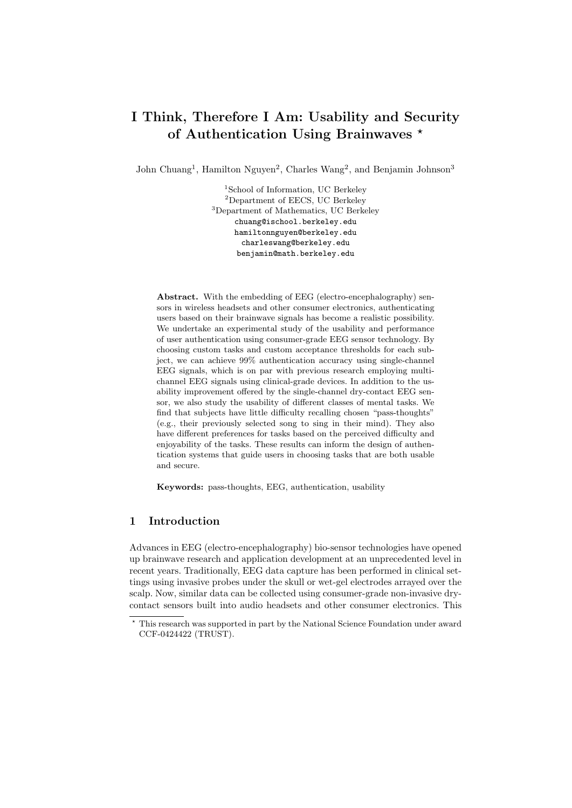# I Think, Therefore I Am: Usability and Security of Authentication Using Brainwaves \*

John Chuang<sup>1</sup>, Hamilton Nguyen<sup>2</sup>, Charles Wang<sup>2</sup>, and Benjamin Johnson<sup>3</sup>

<sup>1</sup>School of Information, UC Berkeley <sup>2</sup>Department of EECS, UC Berkeley <sup>3</sup>Department of Mathematics, UC Berkeley chuang@ischool.berkeley.edu hamiltonnguyen@berkeley.edu charleswang@berkeley.edu benjamin@math.berkeley.edu

Abstract. With the embedding of EEG (electro-encephalography) sensors in wireless headsets and other consumer electronics, authenticating users based on their brainwave signals has become a realistic possibility. We undertake an experimental study of the usability and performance of user authentication using consumer-grade EEG sensor technology. By choosing custom tasks and custom acceptance thresholds for each subject, we can achieve 99% authentication accuracy using single-channel EEG signals, which is on par with previous research employing multichannel EEG signals using clinical-grade devices. In addition to the usability improvement offered by the single-channel dry-contact EEG sensor, we also study the usability of different classes of mental tasks. We find that subjects have little difficulty recalling chosen "pass-thoughts" (e.g., their previously selected song to sing in their mind). They also have different preferences for tasks based on the perceived difficulty and enjoyability of the tasks. These results can inform the design of authentication systems that guide users in choosing tasks that are both usable and secure.

Keywords: pass-thoughts, EEG, authentication, usability

# 1 Introduction

Advances in EEG (electro-encephalography) bio-sensor technologies have opened up brainwave research and application development at an unprecedented level in recent years. Traditionally, EEG data capture has been performed in clinical settings using invasive probes under the skull or wet-gel electrodes arrayed over the scalp. Now, similar data can be collected using consumer-grade non-invasive drycontact sensors built into audio headsets and other consumer electronics. This

<sup>?</sup> This research was supported in part by the National Science Foundation under award CCF-0424422 (TRUST).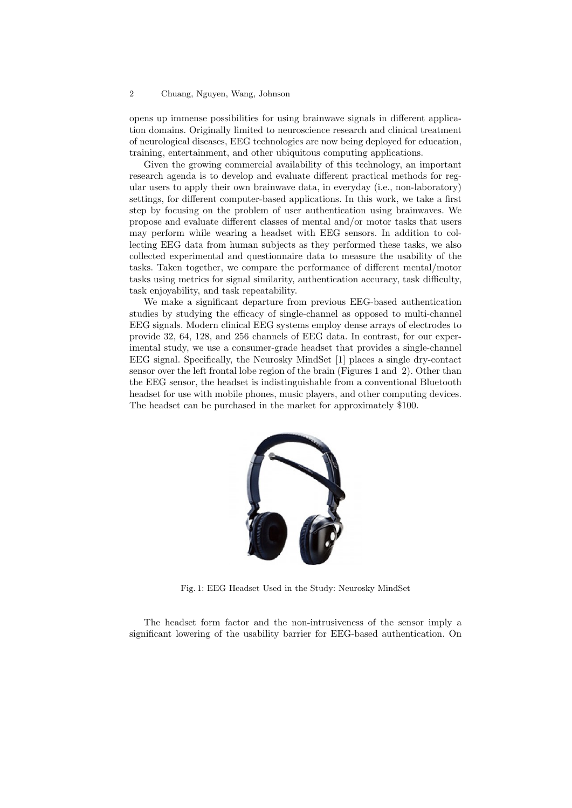opens up immense possibilities for using brainwave signals in different application domains. Originally limited to neuroscience research and clinical treatment of neurological diseases, EEG technologies are now being deployed for education, training, entertainment, and other ubiquitous computing applications.

Given the growing commercial availability of this technology, an important research agenda is to develop and evaluate different practical methods for regular users to apply their own brainwave data, in everyday (i.e., non-laboratory) settings, for different computer-based applications. In this work, we take a first step by focusing on the problem of user authentication using brainwaves. We propose and evaluate different classes of mental and/or motor tasks that users may perform while wearing a headset with EEG sensors. In addition to collecting EEG data from human subjects as they performed these tasks, we also collected experimental and questionnaire data to measure the usability of the tasks. Taken together, we compare the performance of different mental/motor tasks using metrics for signal similarity, authentication accuracy, task difficulty, task enjoyability, and task repeatability.

We make a significant departure from previous EEG-based authentication studies by studying the efficacy of single-channel as opposed to multi-channel EEG signals. Modern clinical EEG systems employ dense arrays of electrodes to provide 32, 64, 128, and 256 channels of EEG data. In contrast, for our experimental study, we use a consumer-grade headset that provides a single-channel EEG signal. Specifically, the Neurosky MindSet [1] places a single dry-contact sensor over the left frontal lobe region of the brain (Figures 1 and 2). Other than the EEG sensor, the headset is indistinguishable from a conventional Bluetooth headset for use with mobile phones, music players, and other computing devices. The headset can be purchased in the market for approximately \$100.



Fig. 1: EEG Headset Used in the Study: Neurosky MindSet

The headset form factor and the non-intrusiveness of the sensor imply a significant lowering of the usability barrier for EEG-based authentication. On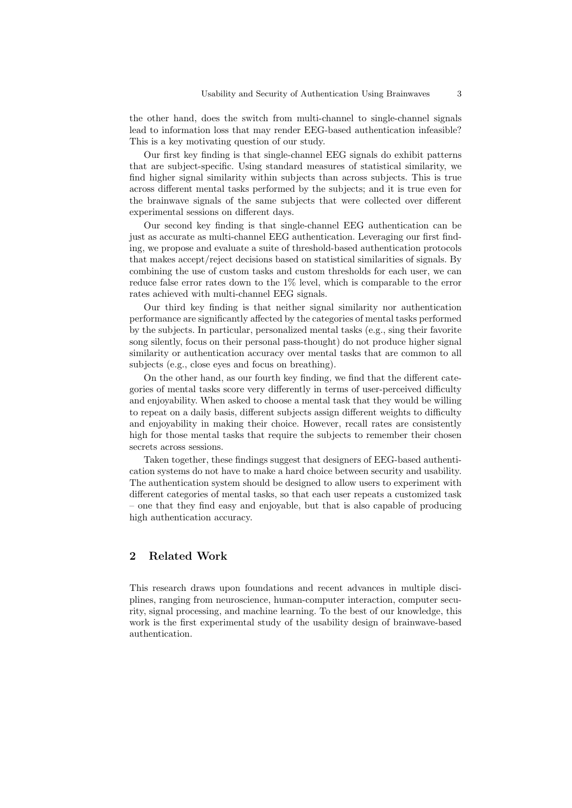the other hand, does the switch from multi-channel to single-channel signals lead to information loss that may render EEG-based authentication infeasible? This is a key motivating question of our study.

Our first key finding is that single-channel EEG signals do exhibit patterns that are subject-specific. Using standard measures of statistical similarity, we find higher signal similarity within subjects than across subjects. This is true across different mental tasks performed by the subjects; and it is true even for the brainwave signals of the same subjects that were collected over different experimental sessions on different days.

Our second key finding is that single-channel EEG authentication can be just as accurate as multi-channel EEG authentication. Leveraging our first finding, we propose and evaluate a suite of threshold-based authentication protocols that makes accept/reject decisions based on statistical similarities of signals. By combining the use of custom tasks and custom thresholds for each user, we can reduce false error rates down to the 1% level, which is comparable to the error rates achieved with multi-channel EEG signals.

Our third key finding is that neither signal similarity nor authentication performance are significantly affected by the categories of mental tasks performed by the subjects. In particular, personalized mental tasks (e.g., sing their favorite song silently, focus on their personal pass-thought) do not produce higher signal similarity or authentication accuracy over mental tasks that are common to all subjects (e.g., close eyes and focus on breathing).

On the other hand, as our fourth key finding, we find that the different categories of mental tasks score very differently in terms of user-perceived difficulty and enjoyability. When asked to choose a mental task that they would be willing to repeat on a daily basis, different subjects assign different weights to difficulty and enjoyability in making their choice. However, recall rates are consistently high for those mental tasks that require the subjects to remember their chosen secrets across sessions.

Taken together, these findings suggest that designers of EEG-based authentication systems do not have to make a hard choice between security and usability. The authentication system should be designed to allow users to experiment with different categories of mental tasks, so that each user repeats a customized task – one that they find easy and enjoyable, but that is also capable of producing high authentication accuracy.

# 2 Related Work

This research draws upon foundations and recent advances in multiple disciplines, ranging from neuroscience, human-computer interaction, computer security, signal processing, and machine learning. To the best of our knowledge, this work is the first experimental study of the usability design of brainwave-based authentication.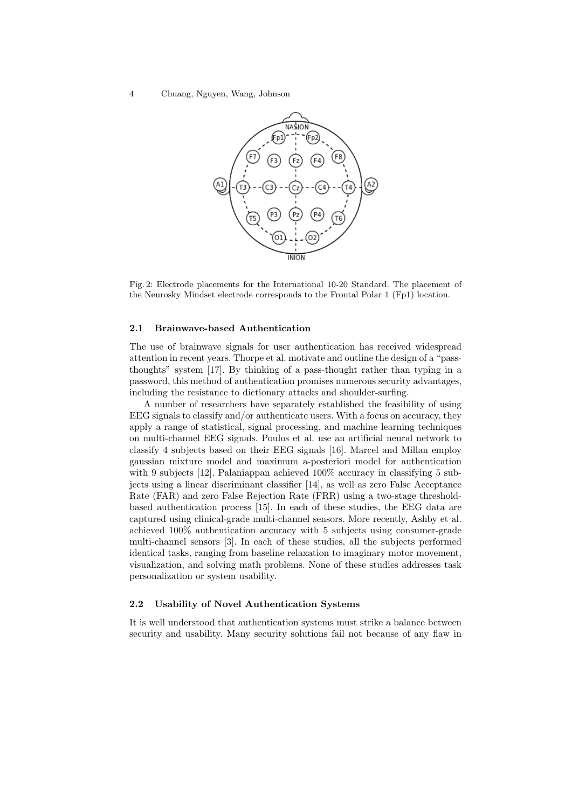

Fig. 2: Electrode placements for the International 10-20 Standard. The placement of the Neurosky Mindset electrode corresponds to the Frontal Polar 1 (Fp1) location.

#### 2.1 Brainwave-based Authentication

The use of brainwave signals for user authentication has received widespread attention in recent years. Thorpe et al. motivate and outline the design of a "passthoughts" system [17]. By thinking of a pass-thought rather than typing in a password, this method of authentication promises numerous security advantages, including the resistance to dictionary attacks and shoulder-surfing.

A number of researchers have separately established the feasibility of using EEG signals to classify and/or authenticate users. With a focus on accuracy, they apply a range of statistical, signal processing, and machine learning techniques on multi-channel EEG signals. Poulos et al. use an artificial neural network to classify 4 subjects based on their EEG signals [16]. Marcel and Millan employ gaussian mixture model and maximum a-posteriori model for authentication with 9 subjects [12]. Palaniappan achieved 100% accuracy in classifying 5 subjects using a linear discriminant classifier [14], as well as zero False Acceptance Rate (FAR) and zero False Rejection Rate (FRR) using a two-stage thresholdbased authentication process [15]. In each of these studies, the EEG data are captured using clinical-grade multi-channel sensors. More recently, Ashby et al. achieved 100% authentication accuracy with 5 subjects using consumer-grade multi-channel sensors [3]. In each of these studies, all the subjects performed identical tasks, ranging from baseline relaxation to imaginary motor movement, visualization, and solving math problems. None of these studies addresses task personalization or system usability.

#### 2.2 Usability of Novel Authentication Systems

It is well understood that authentication systems must strike a balance between security and usability. Many security solutions fail not because of any flaw in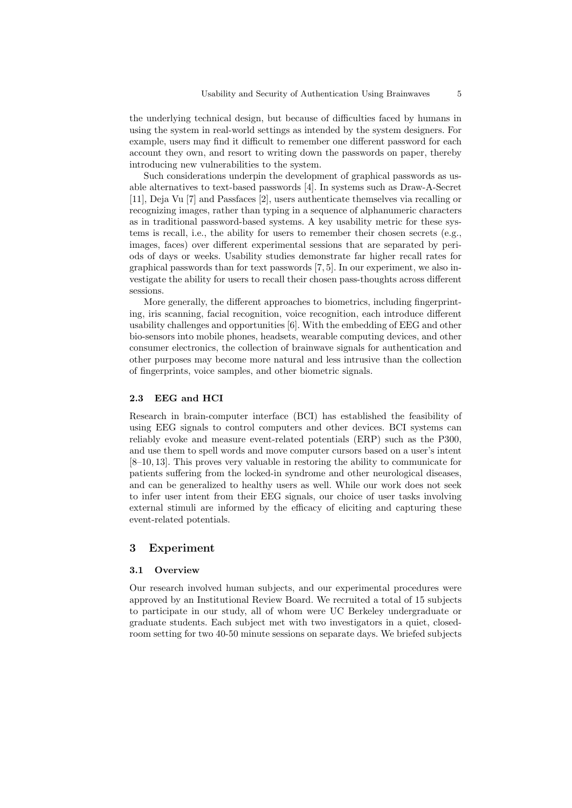the underlying technical design, but because of difficulties faced by humans in using the system in real-world settings as intended by the system designers. For example, users may find it difficult to remember one different password for each account they own, and resort to writing down the passwords on paper, thereby introducing new vulnerabilities to the system.

Such considerations underpin the development of graphical passwords as usable alternatives to text-based passwords [4]. In systems such as Draw-A-Secret [11], Deja Vu [7] and Passfaces [2], users authenticate themselves via recalling or recognizing images, rather than typing in a sequence of alphanumeric characters as in traditional password-based systems. A key usability metric for these systems is recall, i.e., the ability for users to remember their chosen secrets (e.g., images, faces) over different experimental sessions that are separated by periods of days or weeks. Usability studies demonstrate far higher recall rates for graphical passwords than for text passwords [7, 5]. In our experiment, we also investigate the ability for users to recall their chosen pass-thoughts across different sessions.

More generally, the different approaches to biometrics, including fingerprinting, iris scanning, facial recognition, voice recognition, each introduce different usability challenges and opportunities [6]. With the embedding of EEG and other bio-sensors into mobile phones, headsets, wearable computing devices, and other consumer electronics, the collection of brainwave signals for authentication and other purposes may become more natural and less intrusive than the collection of fingerprints, voice samples, and other biometric signals.

## 2.3 EEG and HCI

Research in brain-computer interface (BCI) has established the feasibility of using EEG signals to control computers and other devices. BCI systems can reliably evoke and measure event-related potentials (ERP) such as the P300, and use them to spell words and move computer cursors based on a user's intent [8–10, 13]. This proves very valuable in restoring the ability to communicate for patients suffering from the locked-in syndrome and other neurological diseases, and can be generalized to healthy users as well. While our work does not seek to infer user intent from their EEG signals, our choice of user tasks involving external stimuli are informed by the efficacy of eliciting and capturing these event-related potentials.

## 3 Experiment

#### 3.1 Overview

Our research involved human subjects, and our experimental procedures were approved by an Institutional Review Board. We recruited a total of 15 subjects to participate in our study, all of whom were UC Berkeley undergraduate or graduate students. Each subject met with two investigators in a quiet, closedroom setting for two 40-50 minute sessions on separate days. We briefed subjects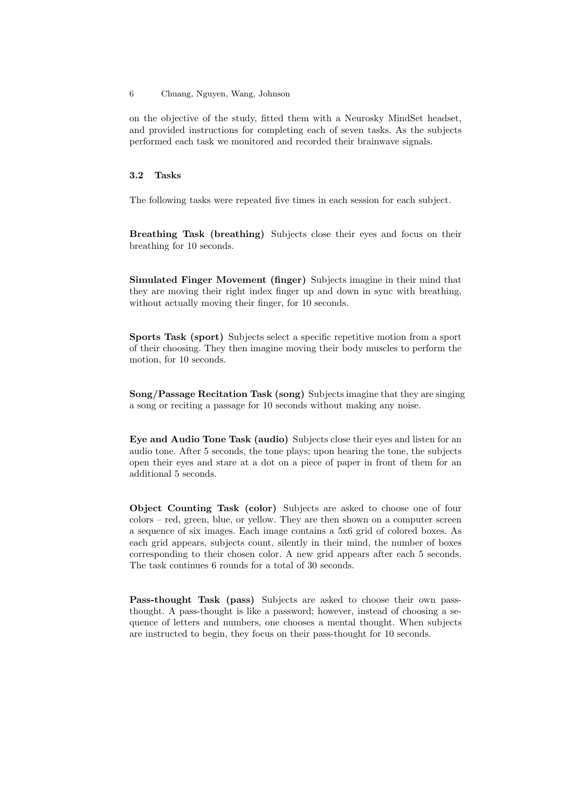on the objective of the study, fitted them with a Neurosky MindSet headset, and provided instructions for completing each of seven tasks. As the subjects performed each task we monitored and recorded their brainwave signals.

## 3.2 Tasks

The following tasks were repeated five times in each session for each subject.

Breathing Task (breathing) Subjects close their eyes and focus on their breathing for 10 seconds.

Simulated Finger Movement (finger) Subjects imagine in their mind that they are moving their right index finger up and down in sync with breathing, without actually moving their finger, for 10 seconds.

Sports Task (sport) Subjects select a specific repetitive motion from a sport of their choosing. They then imagine moving their body muscles to perform the motion, for 10 seconds.

Song/Passage Recitation Task (song) Subjects imagine that they are singing a song or reciting a passage for 10 seconds without making any noise.

Eye and Audio Tone Task (audio) Subjects close their eyes and listen for an audio tone. After 5 seconds, the tone plays; upon hearing the tone, the subjects open their eyes and stare at a dot on a piece of paper in front of them for an additional 5 seconds.

Object Counting Task (color) Subjects are asked to choose one of four colors – red, green, blue, or yellow. They are then shown on a computer screen a sequence of six images. Each image contains a 5x6 grid of colored boxes. As each grid appears, subjects count, silently in their mind, the number of boxes corresponding to their chosen color. A new grid appears after each 5 seconds. The task continues 6 rounds for a total of 30 seconds.

Pass-thought Task (pass) Subjects are asked to choose their own passthought. A pass-thought is like a password; however, instead of choosing a sequence of letters and numbers, one chooses a mental thought. When subjects are instructed to begin, they focus on their pass-thought for 10 seconds.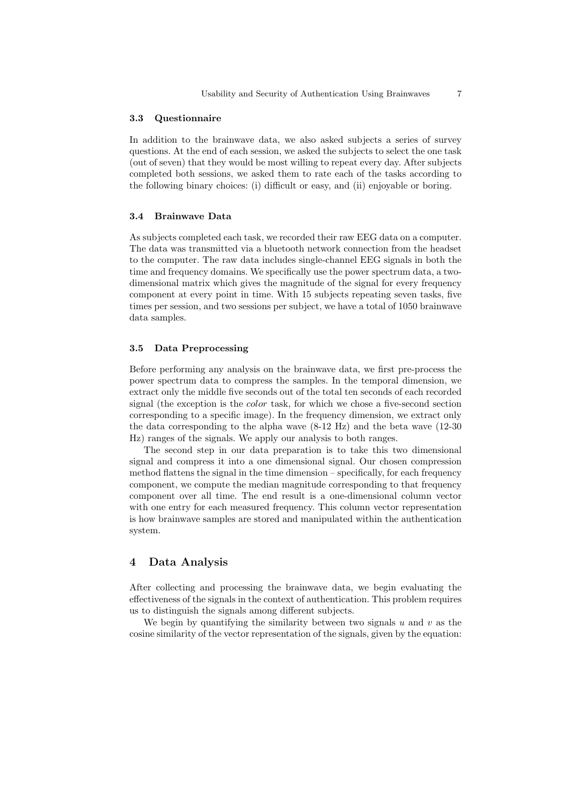#### 3.3 Questionnaire

In addition to the brainwave data, we also asked subjects a series of survey questions. At the end of each session, we asked the subjects to select the one task (out of seven) that they would be most willing to repeat every day. After subjects completed both sessions, we asked them to rate each of the tasks according to the following binary choices: (i) difficult or easy, and (ii) enjoyable or boring.

## 3.4 Brainwave Data

As subjects completed each task, we recorded their raw EEG data on a computer. The data was transmitted via a bluetooth network connection from the headset to the computer. The raw data includes single-channel EEG signals in both the time and frequency domains. We specifically use the power spectrum data, a twodimensional matrix which gives the magnitude of the signal for every frequency component at every point in time. With 15 subjects repeating seven tasks, five times per session, and two sessions per subject, we have a total of 1050 brainwave data samples.

#### 3.5 Data Preprocessing

Before performing any analysis on the brainwave data, we first pre-process the power spectrum data to compress the samples. In the temporal dimension, we extract only the middle five seconds out of the total ten seconds of each recorded signal (the exception is the color task, for which we chose a five-second section corresponding to a specific image). In the frequency dimension, we extract only the data corresponding to the alpha wave (8-12 Hz) and the beta wave (12-30 Hz) ranges of the signals. We apply our analysis to both ranges.

The second step in our data preparation is to take this two dimensional signal and compress it into a one dimensional signal. Our chosen compression method flattens the signal in the time dimension – specifically, for each frequency component, we compute the median magnitude corresponding to that frequency component over all time. The end result is a one-dimensional column vector with one entry for each measured frequency. This column vector representation is how brainwave samples are stored and manipulated within the authentication system.

## 4 Data Analysis

After collecting and processing the brainwave data, we begin evaluating the effectiveness of the signals in the context of authentication. This problem requires us to distinguish the signals among different subjects.

We begin by quantifying the similarity between two signals  $u$  and  $v$  as the cosine similarity of the vector representation of the signals, given by the equation: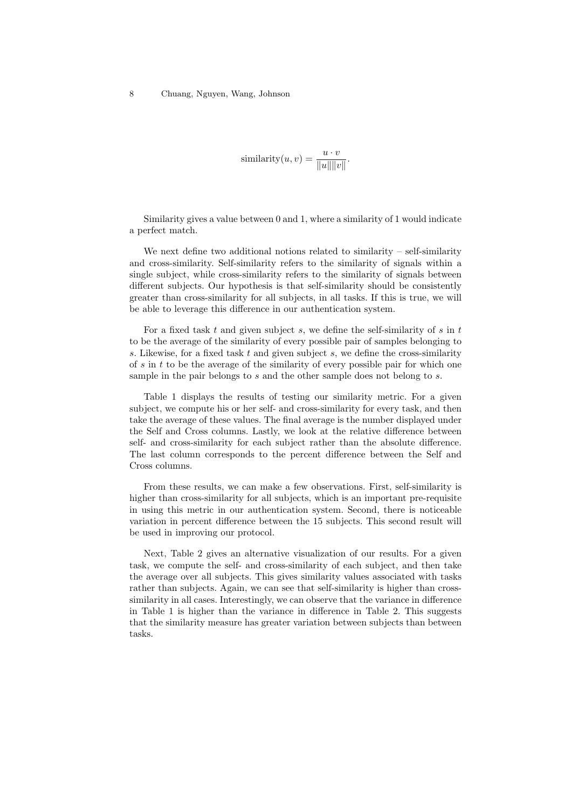similarity
$$
(u, v) = \frac{u \cdot v}{\|u\| \|v\|}.
$$

Similarity gives a value between 0 and 1, where a similarity of 1 would indicate a perfect match.

We next define two additional notions related to similarity – self-similarity and cross-similarity. Self-similarity refers to the similarity of signals within a single subject, while cross-similarity refers to the similarity of signals between different subjects. Our hypothesis is that self-similarity should be consistently greater than cross-similarity for all subjects, in all tasks. If this is true, we will be able to leverage this difference in our authentication system.

For a fixed task  $t$  and given subject  $s$ , we define the self-similarity of  $s$  in  $t$ to be the average of the similarity of every possible pair of samples belonging to s. Likewise, for a fixed task  $t$  and given subject s, we define the cross-similarity of  $s$  in  $t$  to be the average of the similarity of every possible pair for which one sample in the pair belongs to s and the other sample does not belong to s.

Table 1 displays the results of testing our similarity metric. For a given subject, we compute his or her self- and cross-similarity for every task, and then take the average of these values. The final average is the number displayed under the Self and Cross columns. Lastly, we look at the relative difference between self- and cross-similarity for each subject rather than the absolute difference. The last column corresponds to the percent difference between the Self and Cross columns.

From these results, we can make a few observations. First, self-similarity is higher than cross-similarity for all subjects, which is an important pre-requisite in using this metric in our authentication system. Second, there is noticeable variation in percent difference between the 15 subjects. This second result will be used in improving our protocol.

Next, Table 2 gives an alternative visualization of our results. For a given task, we compute the self- and cross-similarity of each subject, and then take the average over all subjects. This gives similarity values associated with tasks rather than subjects. Again, we can see that self-similarity is higher than crosssimilarity in all cases. Interestingly, we can observe that the variance in difference in Table 1 is higher than the variance in difference in Table 2. This suggests that the similarity measure has greater variation between subjects than between tasks.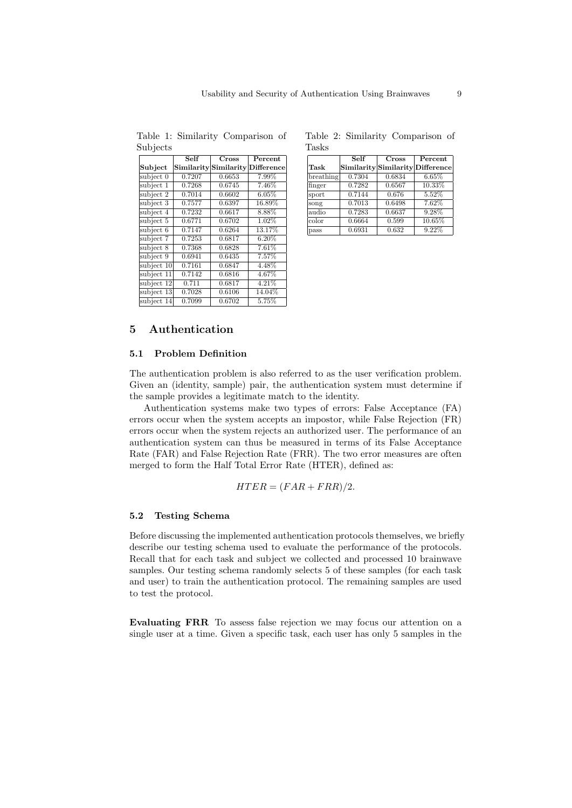|            | Self   | Cross                 | Percent    |
|------------|--------|-----------------------|------------|
| Subject    |        | Similarity Similarity | Difference |
| subject 0  | 0.7207 | 0.6653                | 7.99%      |
| subject 1  | 0.7268 | 0.6745                | 7.46%      |
| subject 2  | 0.7014 | 0.6602                | 6.05%      |
| subject 3  | 0.7577 | 0.6397                | 16.89%     |
| subject 4  | 0.7232 | 0.6617                | 8.88%      |
| subject 5  | 0.6771 | 0.6702                | 1.02%      |
| subject 6  | 0.7147 | 0.6264                | 13.17%     |
| subject 7  | 0.7253 | 0.6817                | $6.20\%$   |
| subject 8  | 0.7368 | 0.6828                | 7.61%      |
| subject 9  | 0.6941 | 0.6435                | 7.57%      |
| subject 10 | 0.7161 | 0.6847                | 4.48%      |
| subject 11 | 0.7142 | 0.6816                | 4.67%      |
| subject 12 | 0.711  | 0.6817                | 4.21%      |
| subject 13 | 0.7028 | 0.6106                | 14.04%     |
| subject 14 | 0.7099 | 0.6702                | 5.75%      |

Table 1: Similarity Comparison of Subjects

Table 2: Similarity Comparison of Tasks

|           | Self   | Cross  | Percent                          |
|-----------|--------|--------|----------------------------------|
| Task      |        |        | Similarity Similarity Difference |
| breathing | 0.7304 | 0.6834 | 6.65%                            |
| finger    | 0.7282 | 0.6567 | 10.33%                           |
| sport     | 0.7144 | 0.676  | 5.52%                            |
| song      | 0.7013 | 0.6498 | 7.62%                            |
| audio     | 0.7283 | 0.6637 | 9.28%                            |
| color     | 0.6664 | 0.599  | 10.65%                           |
| pass      | 0.6931 | 0.632  | 9.22%                            |

# 5 Authentication

## 5.1 Problem Definition

The authentication problem is also referred to as the user verification problem. Given an (identity, sample) pair, the authentication system must determine if the sample provides a legitimate match to the identity.

Authentication systems make two types of errors: False Acceptance (FA) errors occur when the system accepts an impostor, while False Rejection (FR) errors occur when the system rejects an authorized user. The performance of an authentication system can thus be measured in terms of its False Acceptance Rate (FAR) and False Rejection Rate (FRR). The two error measures are often merged to form the Half Total Error Rate (HTER), defined as:

$$
HTER = (FAR + FRR)/2.
$$

#### 5.2 Testing Schema

Before discussing the implemented authentication protocols themselves, we briefly describe our testing schema used to evaluate the performance of the protocols. Recall that for each task and subject we collected and processed 10 brainwave samples. Our testing schema randomly selects 5 of these samples (for each task and user) to train the authentication protocol. The remaining samples are used to test the protocol.

Evaluating FRR To assess false rejection we may focus our attention on a single user at a time. Given a specific task, each user has only 5 samples in the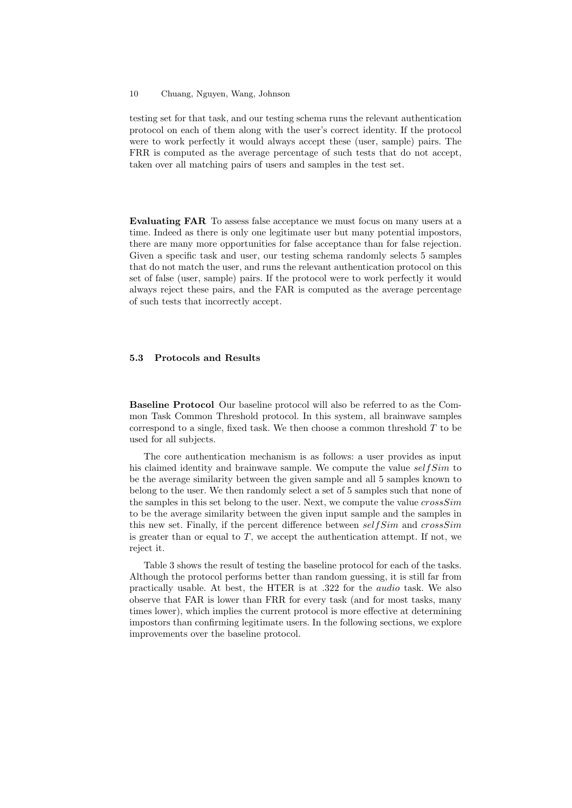testing set for that task, and our testing schema runs the relevant authentication protocol on each of them along with the user's correct identity. If the protocol were to work perfectly it would always accept these (user, sample) pairs. The FRR is computed as the average percentage of such tests that do not accept, taken over all matching pairs of users and samples in the test set.

Evaluating FAR To assess false acceptance we must focus on many users at a time. Indeed as there is only one legitimate user but many potential impostors, there are many more opportunities for false acceptance than for false rejection. Given a specific task and user, our testing schema randomly selects 5 samples that do not match the user, and runs the relevant authentication protocol on this set of false (user, sample) pairs. If the protocol were to work perfectly it would always reject these pairs, and the FAR is computed as the average percentage of such tests that incorrectly accept.

#### 5.3 Protocols and Results

Baseline Protocol Our baseline protocol will also be referred to as the Common Task Common Threshold protocol. In this system, all brainwave samples correspond to a single, fixed task. We then choose a common threshold  $T$  to be used for all subjects.

The core authentication mechanism is as follows: a user provides as input his claimed identity and brainwave sample. We compute the value self Sim to be the average similarity between the given sample and all 5 samples known to belong to the user. We then randomly select a set of 5 samples such that none of the samples in this set belong to the user. Next, we compute the value crossSim to be the average similarity between the given input sample and the samples in this new set. Finally, if the percent difference between  $selfSim$  and  $crossSim$ is greater than or equal to  $T$ , we accept the authentication attempt. If not, we reject it.

Table 3 shows the result of testing the baseline protocol for each of the tasks. Although the protocol performs better than random guessing, it is still far from practically usable. At best, the HTER is at .322 for the audio task. We also observe that FAR is lower than FRR for every task (and for most tasks, many times lower), which implies the current protocol is more effective at determining impostors than confirming legitimate users. In the following sections, we explore improvements over the baseline protocol.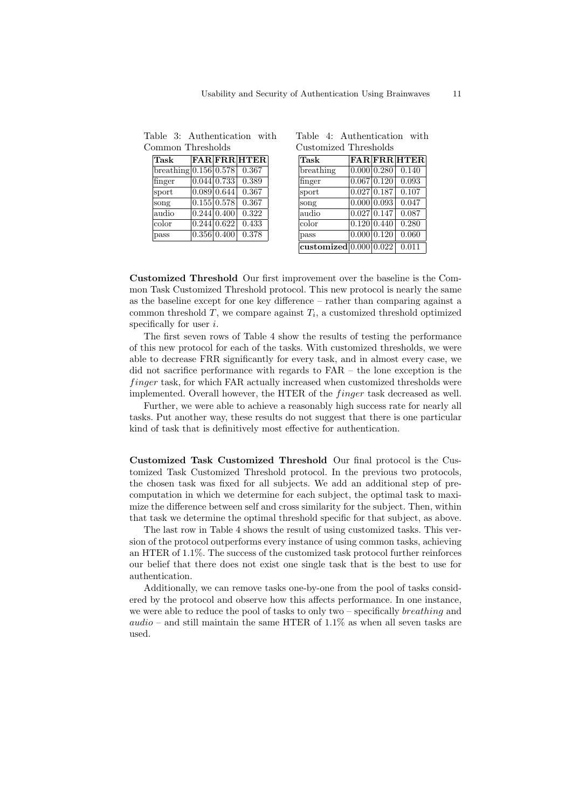Table 3: Authentication with Common Thresholds

| Task                    |               |             | <b>FAR FRR HTER</b> |
|-------------------------|---------------|-------------|---------------------|
| breathing $0.156$ 0.578 |               |             | 0.367               |
| finger                  |               | 0.044 0.733 | 0.389               |
| sport                   | 0.089 0.644   |             | 0.367               |
| song                    | 0.155   0.578 |             | 0.367               |
| audio                   | 0.244 0.400   |             | 0.322               |
| color                   |               | 0.244 0.622 | 0.433               |
| pass                    | 0.356 0.400   |             | 0.378               |

Table 4: Authentication with Customized Thresholds

| Task                                     |                |                            | <b>FAR FRR HTER</b> |
|------------------------------------------|----------------|----------------------------|---------------------|
| breathing                                | 0.000 0.280    |                            | 0.140               |
| finger                                   |                | $0.\overline{067}$ $0.120$ | 0.093               |
| sport                                    | 0.027 0.187    |                            | 0.107               |
| song                                     | 0.000 0.093    |                            | 0.047               |
| audio                                    | 0.027 0.147    |                            | 0.087               |
| color                                    | $0.120\,0.440$ |                            | 0.280               |
| pass                                     | 0.000 0.120    |                            | 0.060               |
| $\boxed{\textbf{cutomized} 0.000 0.022}$ |                |                            | 0.011               |

Customized Threshold Our first improvement over the baseline is the Common Task Customized Threshold protocol. This new protocol is nearly the same as the baseline except for one key difference – rather than comparing against a common threshold  $T$ , we compare against  $T_i$ , a customized threshold optimized specifically for user  $i$ .

The first seven rows of Table 4 show the results of testing the performance of this new protocol for each of the tasks. With customized thresholds, we were able to decrease FRR significantly for every task, and in almost every case, we did not sacrifice performance with regards to FAR – the lone exception is the finger task, for which FAR actually increased when customized thresholds were implemented. Overall however, the HTER of the *finger* task decreased as well.

Further, we were able to achieve a reasonably high success rate for nearly all tasks. Put another way, these results do not suggest that there is one particular kind of task that is definitively most effective for authentication.

Customized Task Customized Threshold Our final protocol is the Customized Task Customized Threshold protocol. In the previous two protocols, the chosen task was fixed for all subjects. We add an additional step of precomputation in which we determine for each subject, the optimal task to maximize the difference between self and cross similarity for the subject. Then, within that task we determine the optimal threshold specific for that subject, as above.

The last row in Table 4 shows the result of using customized tasks. This version of the protocol outperforms every instance of using common tasks, achieving an HTER of 1.1%. The success of the customized task protocol further reinforces our belief that there does not exist one single task that is the best to use for authentication.

Additionally, we can remove tasks one-by-one from the pool of tasks considered by the protocol and observe how this affects performance. In one instance, we were able to reduce the pool of tasks to only two – specifically *breathing* and  $audio$  – and still maintain the same HTER of 1.1% as when all seven tasks are used.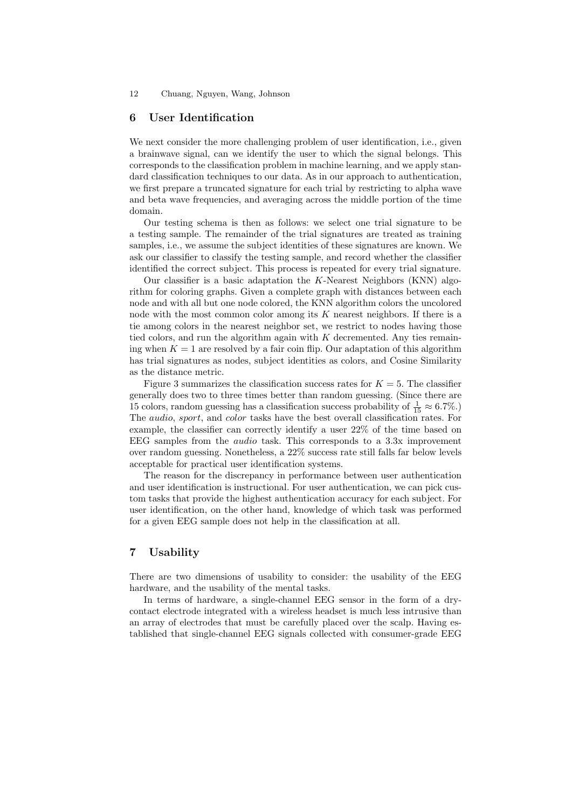#### 6 User Identification

We next consider the more challenging problem of user identification, i.e., given a brainwave signal, can we identify the user to which the signal belongs. This corresponds to the classification problem in machine learning, and we apply standard classification techniques to our data. As in our approach to authentication, we first prepare a truncated signature for each trial by restricting to alpha wave and beta wave frequencies, and averaging across the middle portion of the time domain.

Our testing schema is then as follows: we select one trial signature to be a testing sample. The remainder of the trial signatures are treated as training samples, i.e., we assume the subject identities of these signatures are known. We ask our classifier to classify the testing sample, and record whether the classifier identified the correct subject. This process is repeated for every trial signature.

Our classifier is a basic adaptation the K-Nearest Neighbors (KNN) algorithm for coloring graphs. Given a complete graph with distances between each node and with all but one node colored, the KNN algorithm colors the uncolored node with the most common color among its  $K$  nearest neighbors. If there is a tie among colors in the nearest neighbor set, we restrict to nodes having those tied colors, and run the algorithm again with  $K$  decremented. Any ties remaining when  $K = 1$  are resolved by a fair coin flip. Our adaptation of this algorithm has trial signatures as nodes, subject identities as colors, and Cosine Similarity as the distance metric.

Figure 3 summarizes the classification success rates for  $K = 5$ . The classifier generally does two to three times better than random guessing. (Since there are 15 colors, random guessing has a classification success probability of  $\frac{1}{15} \approx 6.7\%$ . The audio, sport, and color tasks have the best overall classification rates. For example, the classifier can correctly identify a user 22% of the time based on EEG samples from the audio task. This corresponds to a 3.3x improvement over random guessing. Nonetheless, a 22% success rate still falls far below levels acceptable for practical user identification systems.

The reason for the discrepancy in performance between user authentication and user identification is instructional. For user authentication, we can pick custom tasks that provide the highest authentication accuracy for each subject. For user identification, on the other hand, knowledge of which task was performed for a given EEG sample does not help in the classification at all.

# 7 Usability

There are two dimensions of usability to consider: the usability of the EEG hardware, and the usability of the mental tasks.

In terms of hardware, a single-channel EEG sensor in the form of a drycontact electrode integrated with a wireless headset is much less intrusive than an array of electrodes that must be carefully placed over the scalp. Having established that single-channel EEG signals collected with consumer-grade EEG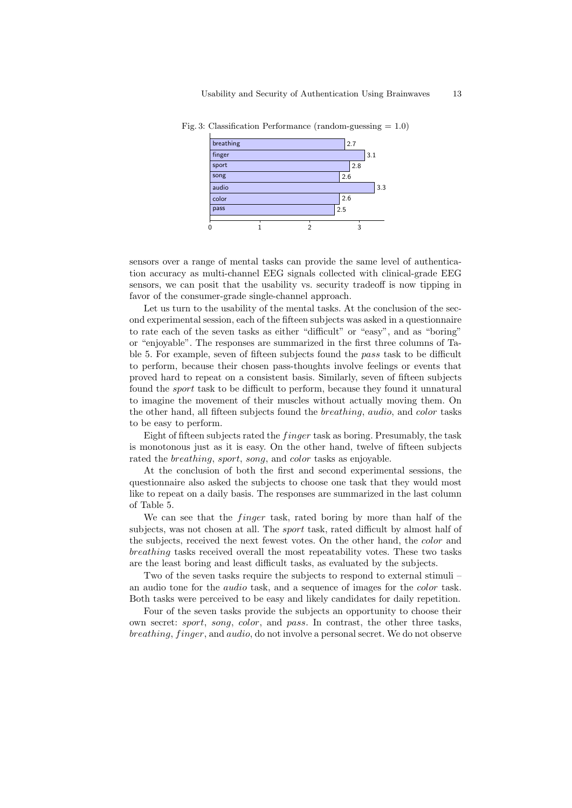



sensors over a range of mental tasks can provide the same level of authentication accuracy as multi-channel EEG signals collected with clinical-grade EEG sensors, we can posit that the usability vs. security tradeoff is now tipping in favor of the consumer-grade single-channel approach.

Let us turn to the usability of the mental tasks. At the conclusion of the second experimental session, each of the fifteen subjects was asked in a questionnaire to rate each of the seven tasks as either "difficult" or "easy", and as "boring" or "enjoyable". The responses are summarized in the first three columns of Table 5. For example, seven of fifteen subjects found the pass task to be difficult to perform, because their chosen pass-thoughts involve feelings or events that proved hard to repeat on a consistent basis. Similarly, seven of fifteen subjects found the sport task to be difficult to perform, because they found it unnatural to imagine the movement of their muscles without actually moving them. On the other hand, all fifteen subjects found the breathing, audio, and color tasks to be easy to perform.

Eight of fifteen subjects rated the  $finger$  task as boring. Presumably, the task is monotonous just as it is easy. On the other hand, twelve of fifteen subjects rated the *breathing*, *sport*, *song*, and *color* tasks as enjoyable.

At the conclusion of both the first and second experimental sessions, the questionnaire also asked the subjects to choose one task that they would most like to repeat on a daily basis. The responses are summarized in the last column of Table 5.

We can see that the *finger* task, rated boring by more than half of the subjects, was not chosen at all. The *sport* task, rated difficult by almost half of the subjects, received the next fewest votes. On the other hand, the color and breathing tasks received overall the most repeatability votes. These two tasks are the least boring and least difficult tasks, as evaluated by the subjects.

Two of the seven tasks require the subjects to respond to external stimuli – an audio tone for the audio task, and a sequence of images for the color task. Both tasks were perceived to be easy and likely candidates for daily repetition.

Four of the seven tasks provide the subjects an opportunity to choose their own secret: sport, song, color, and pass. In contrast, the other three tasks, breathing, finger, and audio, do not involve a personal secret. We do not observe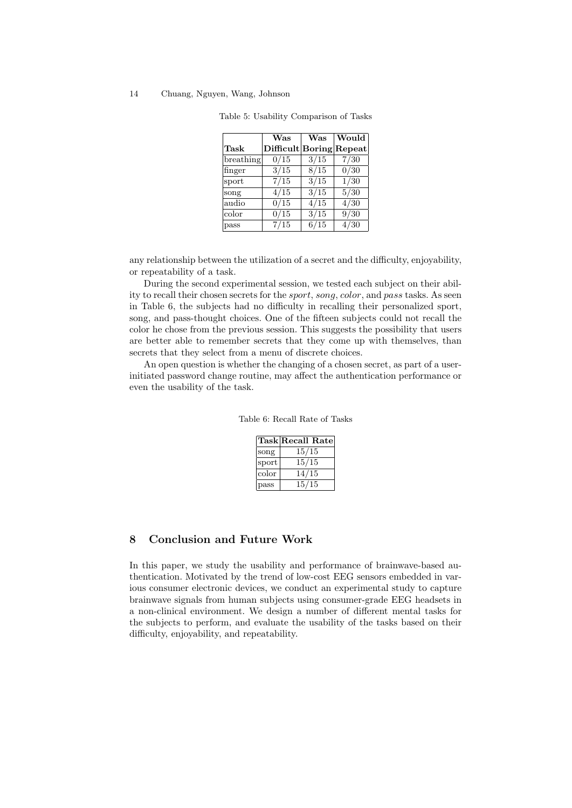|           | <b>Was</b>              | <b>Was</b>     | Would          |
|-----------|-------------------------|----------------|----------------|
| Task      | Difficult Boring Repeat |                |                |
| breathing | 0/15                    | 3/15           | 7/30           |
| finger    | 3/15                    | 8/15           | 0/30           |
| sport     | $7/\overline{15}$       | 3/15           | 1/30           |
| song      | 4/15                    | 3/15           | 5/30           |
| audio     | $\overline{0/15}$       | $\frac{4}{15}$ | 4/30           |
| color     | 0/15                    | 3/15           | 9/30           |
| pass      | 7/15                    | 6/15           | $\frac{4}{30}$ |

Table 5: Usability Comparison of Tasks

any relationship between the utilization of a secret and the difficulty, enjoyability, or repeatability of a task.

During the second experimental session, we tested each subject on their ability to recall their chosen secrets for the sport, song, color, and pass tasks. As seen in Table 6, the subjects had no difficulty in recalling their personalized sport, song, and pass-thought choices. One of the fifteen subjects could not recall the color he chose from the previous session. This suggests the possibility that users are better able to remember secrets that they come up with themselves, than secrets that they select from a menu of discrete choices.

An open question is whether the changing of a chosen secret, as part of a userinitiated password change routine, may affect the authentication performance or even the usability of the task.

|       | Task Recall Rate |
|-------|------------------|
| song  | 15/15            |
| sport | 15/15            |
| color | 14/15            |
| pass  | 15/15            |

Table 6: Recall Rate of Tasks

# 8 Conclusion and Future Work

In this paper, we study the usability and performance of brainwave-based authentication. Motivated by the trend of low-cost EEG sensors embedded in various consumer electronic devices, we conduct an experimental study to capture brainwave signals from human subjects using consumer-grade EEG headsets in a non-clinical environment. We design a number of different mental tasks for the subjects to perform, and evaluate the usability of the tasks based on their difficulty, enjoyability, and repeatability.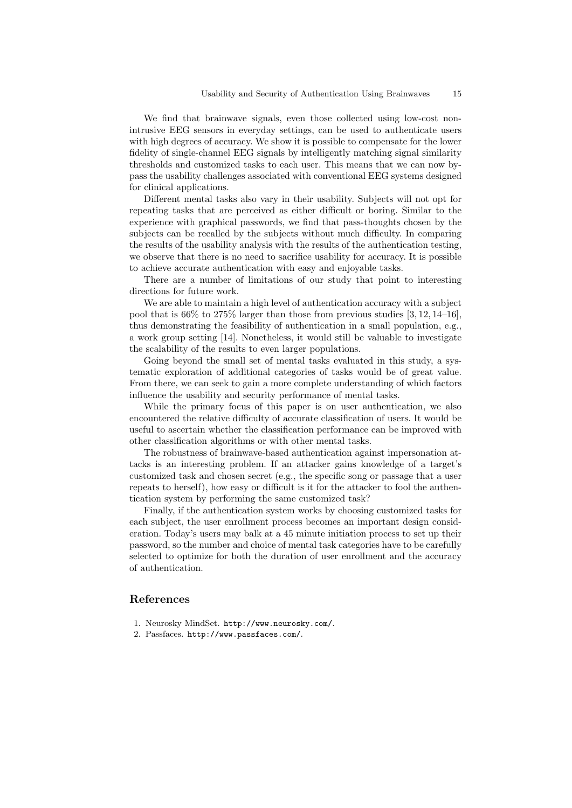We find that brainwave signals, even those collected using low-cost nonintrusive EEG sensors in everyday settings, can be used to authenticate users with high degrees of accuracy. We show it is possible to compensate for the lower fidelity of single-channel EEG signals by intelligently matching signal similarity thresholds and customized tasks to each user. This means that we can now bypass the usability challenges associated with conventional EEG systems designed for clinical applications.

Different mental tasks also vary in their usability. Subjects will not opt for repeating tasks that are perceived as either difficult or boring. Similar to the experience with graphical passwords, we find that pass-thoughts chosen by the subjects can be recalled by the subjects without much difficulty. In comparing the results of the usability analysis with the results of the authentication testing, we observe that there is no need to sacrifice usability for accuracy. It is possible to achieve accurate authentication with easy and enjoyable tasks.

There are a number of limitations of our study that point to interesting directions for future work.

We are able to maintain a high level of authentication accuracy with a subject pool that is 66% to 275% larger than those from previous studies [3, 12, 14–16], thus demonstrating the feasibility of authentication in a small population, e.g., a work group setting [14]. Nonetheless, it would still be valuable to investigate the scalability of the results to even larger populations.

Going beyond the small set of mental tasks evaluated in this study, a systematic exploration of additional categories of tasks would be of great value. From there, we can seek to gain a more complete understanding of which factors influence the usability and security performance of mental tasks.

While the primary focus of this paper is on user authentication, we also encountered the relative difficulty of accurate classification of users. It would be useful to ascertain whether the classification performance can be improved with other classification algorithms or with other mental tasks.

The robustness of brainwave-based authentication against impersonation attacks is an interesting problem. If an attacker gains knowledge of a target's customized task and chosen secret (e.g., the specific song or passage that a user repeats to herself), how easy or difficult is it for the attacker to fool the authentication system by performing the same customized task?

Finally, if the authentication system works by choosing customized tasks for each subject, the user enrollment process becomes an important design consideration. Today's users may balk at a 45 minute initiation process to set up their password, so the number and choice of mental task categories have to be carefully selected to optimize for both the duration of user enrollment and the accuracy of authentication.

#### References

- 1. Neurosky MindSet. http://www.neurosky.com/.
- 2. Passfaces. http://www.passfaces.com/.